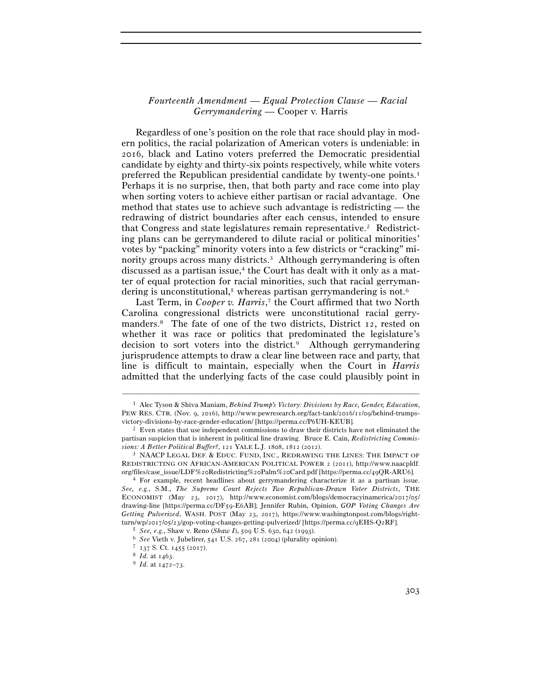## *Fourteenth Amendment* — *Equal Protection Clause* — *Racial Gerrymandering* — Cooper v. Harris

Regardless of one's position on the role that race should play in modern politics, the racial polarization of American voters is undeniable: in 2016, black and Latino voters preferred the Democratic presidential candidate by eighty and thirty-six points respectively, while white voters preferred the Republican presidential candidate by twenty-one points.1 Perhaps it is no surprise, then, that both party and race come into play when sorting voters to achieve either partisan or racial advantage. One method that states use to achieve such advantage is redistricting — the redrawing of district boundaries after each census, intended to ensure that Congress and state legislatures remain representative.2 Redistricting plans can be gerrymandered to dilute racial or political minorities' votes by "packing" minority voters into a few districts or "cracking" minority groups across many districts.<sup>3</sup> Although gerrymandering is often discussed as a partisan issue, $4$  the Court has dealt with it only as a matter of equal protection for racial minorities, such that racial gerrymandering is unconstitutional,<sup>5</sup> whereas partisan gerrymandering is not.<sup>6</sup>

Last Term, in *Cooper v. Harris*, 7 the Court affirmed that two North Carolina congressional districts were unconstitutional racial gerrymanders.8 The fate of one of the two districts, District 12, rested on whether it was race or politics that predominated the legislature's decision to sort voters into the district.<sup>9</sup> Although gerrymandering jurisprudence attempts to draw a clear line between race and party, that line is difficult to maintain, especially when the Court in *Harris* admitted that the underlying facts of the case could plausibly point in

<sup>1</sup> Alec Tyson & Shiva Maniam, *Behind Trump's Victory: Divisions by Race, Gender, Education*, PEW RES. CTR. (Nov. 9, 2016), http://www.pewresearch.org/fact-tank/2016/11/09/behind-trumpsvictory-divisions-by-race-gender-education/ [https://perma.cc/P<sup>6</sup>UH-KEUB]. 2 Even states that use independent commissions to draw their districts have not eliminated the

partisan suspicion that is inherent in political line drawing. Bruce E. Cain, *Redistricting Commissions: A Better Political Buffer?*, 121 YALE L.J. 1808, 1812 (2012).<br><sup>3</sup> NAACP LEGAL DEF. & EDUC. FUND, INC., REDRAWING THE LINES: THE IMPACT OF

REDISTRICTING ON AFRICAN-AMERICAN POLITICAL POWER 2 (2011), http://www.naacpldf. org/files/case\_issue/LDF%20Redistricting%20Palm%20Card.pdf [https://perma.cc/49QR-ARU<sup>6</sup>]. 4 For example, recent headlines about gerrymandering characterize it as a partisan issue.

*See, e.g.*, S.M., *The Supreme Court Rejects Two Republican-Drawn Voter Districts*, THE ECONOMIST (May 23, 2017), http://www.economist.com/blogs/democracyinamerica/2017/05/ drawing-line [https://perma.cc/DF59-E6AB]; Jennifer Rubin, Opinion, *GOP Voting Changes Are Getting Pulverized*, WASH. POST (May 23, 2017), https://www.washingtonpost.com/blogs/rightturn/wp/2017/05/23/gop-voting-changes-getting-pulverized/ [https://perma.cc/9EHS-Q2RF].<br>
<sup>5</sup> See, e.g., Shaw v. Reno (Shaw I), 509 U.S. 630, 642 (1993).<br>
<sup>6</sup> See Vieth v. Jubelirer, 541 U.S. 267, 281 (2004) (plurality opi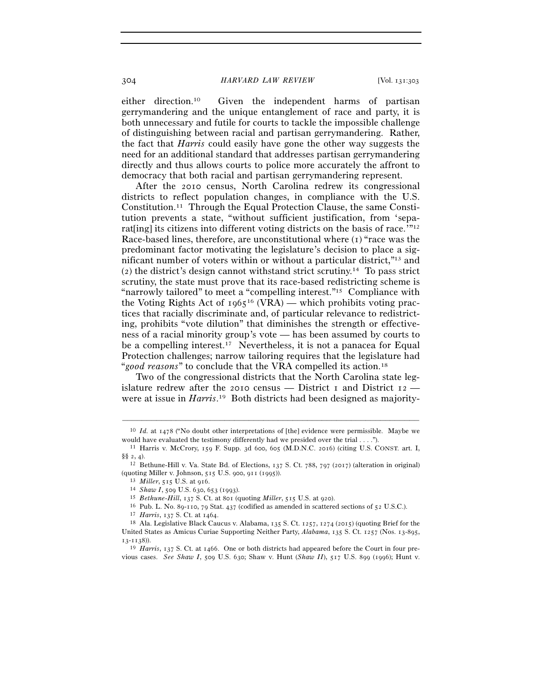either direction.10 Given the independent harms of partisan gerrymandering and the unique entanglement of race and party, it is both unnecessary and futile for courts to tackle the impossible challenge of distinguishing between racial and partisan gerrymandering. Rather, the fact that *Harris* could easily have gone the other way suggests the need for an additional standard that addresses partisan gerrymandering directly and thus allows courts to police more accurately the affront to democracy that both racial and partisan gerrymandering represent.

After the 2010 census, North Carolina redrew its congressional districts to reflect population changes, in compliance with the U.S. Constitution.11 Through the Equal Protection Clause, the same Constitution prevents a state, "without sufficient justification, from 'separater into different voting districts on the basis of race.<sup>'"12</sup> Race-based lines, therefore, are unconstitutional where (1) "race was the predominant factor motivating the legislature's decision to place a significant number of voters within or without a particular district,"13 and (2) the district's design cannot withstand strict scrutiny.14 To pass strict scrutiny, the state must prove that its race-based redistricting scheme is "narrowly tailored" to meet a "compelling interest."15 Compliance with the Voting Rights Act of  $1965^{16}$  (VRA) — which prohibits voting practices that racially discriminate and, of particular relevance to redistricting, prohibits "vote dilution" that diminishes the strength or effectiveness of a racial minority group's vote — has been assumed by courts to be a compelling interest.<sup>17</sup> Nevertheless, it is not a panacea for Equal Protection challenges; narrow tailoring requires that the legislature had "*good reasons*" to conclude that the VRA compelled its action.18

Two of the congressional districts that the North Carolina state legislature redrew after the 2010 census — District 1 and District  $12$  were at issue in *Harris*. 19 Both districts had been designed as majority-

<sup>–––––––––––––––––––––––––––––––––––––––––––––––––––––––––––––</sup> <sup>10</sup> *Id.* at 1478 ("No doubt other interpretations of [the] evidence were permissible. Maybe we would have evaluated the testimony differently had we presided over the trial . . . .").<br><sup>11</sup> Harris v. McCrory, 159 F. Supp. 3d 600, 605 (M.D.N.C. 2016) (citing U.S. CONST. art. I,

<sup>§§ 2, 4).&</sup>lt;br><sup>12</sup> Bethune-Hill v. Va. State Bd. of Elections, 137 S. Ct. 788, 797 (2017) (alteration in original)

<sup>(</sup>quoting Miller v. Johnson, 515 U.S. 900, 911 (1995)).<br>
<sup>13</sup> *Miller*, 515 U.S. at 916.<br>
<sup>14</sup> *Shaw I*, 509 U.S. 630, 653 (1993).<br>
<sup>15</sup> *Bethune-Hill*, 137 S. Ct. at 801 (quoting *Miller*, 515 U.S. at 920).<br>
<sup>15</sup> *Pub. L.* 

United States as Amicus Curiae Supporting Neither Party, *Alabama*, 135 S. Ct. 1257 (Nos. 13-895,

<sup>13</sup>-<sup>1138</sup>)). 19 *Harris*, 137 S. Ct. at 1466. One or both districts had appeared before the Court in four previous cases. *See Shaw I*, 509 U.S. 630; Shaw v. Hunt (*Shaw II*), 517 U.S. 899 (1996); Hunt v.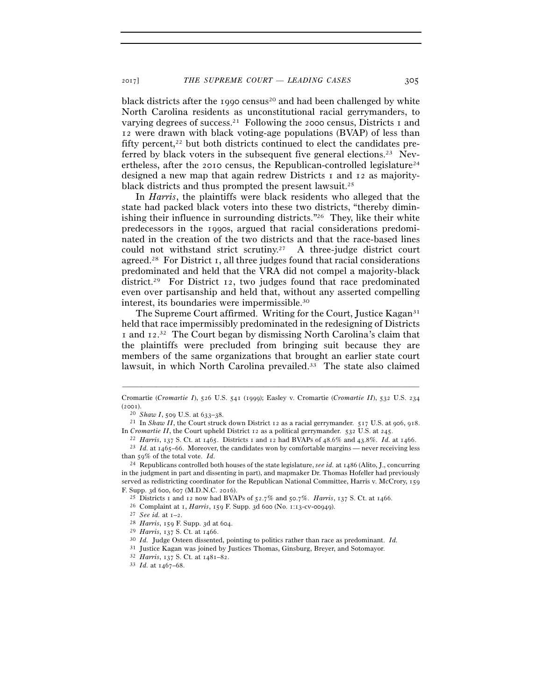black districts after the 1990 census<sup>20</sup> and had been challenged by white North Carolina residents as unconstitutional racial gerrymanders, to varying degrees of success.<sup>21</sup> Following the 2000 census, Districts 1 and 12 were drawn with black voting-age populations (BVAP) of less than fifty percent, $22$  but both districts continued to elect the candidates preferred by black voters in the subsequent five general elections.<sup>23</sup> Nevertheless, after the 2010 census, the Republican-controlled legislature<sup>24</sup> designed a new map that again redrew Districts 1 and 12 as majorityblack districts and thus prompted the present lawsuit.25

In *Harris*, the plaintiffs were black residents who alleged that the state had packed black voters into these two districts, "thereby diminishing their influence in surrounding districts."26 They, like their white predecessors in the 1990s, argued that racial considerations predominated in the creation of the two districts and that the race-based lines could not withstand strict scrutiny.<sup>27</sup> A three-judge district court agreed.28 For District 1, all three judges found that racial considerations predominated and held that the VRA did not compel a majority-black district.29 For District 12, two judges found that race predominated even over partisanship and held that, without any asserted compelling interest, its boundaries were impermissible.30

The Supreme Court affirmed. Writing for the Court, Justice Kagan<sup>31</sup> held that race impermissibly predominated in the redesigning of Districts I and 12.<sup>32</sup> The Court began by dismissing North Carolina's claim that the plaintiffs were precluded from bringing suit because they are members of the same organizations that brought an earlier state court lawsuit, in which North Carolina prevailed.33 The state also claimed

<sup>–––––––––––––––––––––––––––––––––––––––––––––––––––––––––––––</sup> Cromartie (*Cromartie I*), 526 U.S. 541 (1999); Easley v. Cromartie (*Cromartie II*), 532 U.S. 234 (<sup>2001</sup>). 20 *Shaw I*, 509 U.S. at 633–<sup>38</sup>. 21 In *Shaw II*, the Court struck down District 12 as a racial gerrymander. 517 U.S. at 906, 918.

In *Cromartie II*, the Court upheld District 12 as a political gerrymander. 532 U.S. at <sup>245</sup>. 22 *Harris*, 137 S. Ct. at 1465. Districts 1 and 12 had BVAPs of 48.6% and 43.8%. *Id.* at 1466.

<sup>&</sup>lt;sup>23</sup> *Id.* at  $1465-66$ . Moreover, the candidates won by comfortable margins — never receiving less than 59% of the total vote. *Id.*

<sup>24</sup> Republicans controlled both houses of the state legislature, *see id.* at 1486 (Alito, J., concurring in the judgment in part and dissenting in part), and mapmaker Dr. Thomas Hofeller had previously served as redistricting coordinator for the Republican National Committee, Harris v. McCrory, 159 F. Supp. 3d 600, 607 (M.D.N.C. 2016).<br>
<sup>25</sup> Districts 1 and 12 now had BVAPs of 52.7% and 50.7%. *Harris*, 137 S. Ct. at 1466.<br>
<sup>26</sup> Complaint at 1, *Harris*, 159 F. Supp. 3d 600 (No. 1:13-cv-00949).<br>
<sup>27</sup> See id. at 1-2.

<sup>31</sup> Justice Kagan was joined by Justices Thomas, Ginsburg, Breyer, and Sotomayor. 32 *Harris*, 137 S. Ct. at 1481–<sup>82</sup>. 33 *Id.* at 1467–68.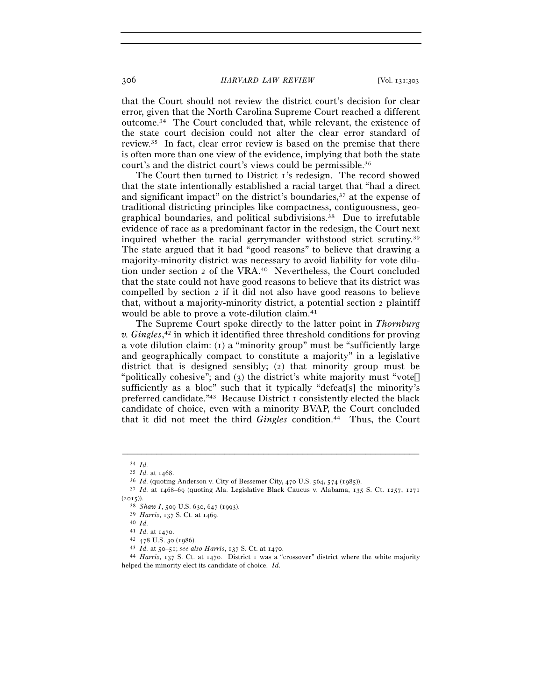that the Court should not review the district court's decision for clear error, given that the North Carolina Supreme Court reached a different outcome.34 The Court concluded that, while relevant, the existence of the state court decision could not alter the clear error standard of review.35 In fact, clear error review is based on the premise that there is often more than one view of the evidence, implying that both the state court's and the district court's views could be permissible.36

The Court then turned to District 1's redesign. The record showed that the state intentionally established a racial target that "had a direct and significant impact" on the district's boundaries,37 at the expense of traditional districting principles like compactness, contiguousness, geographical boundaries, and political subdivisions.38 Due to irrefutable evidence of race as a predominant factor in the redesign, the Court next inquired whether the racial gerrymander withstood strict scrutiny.39 The state argued that it had "good reasons" to believe that drawing a majority-minority district was necessary to avoid liability for vote dilution under section 2 of the VRA.40 Nevertheless, the Court concluded that the state could not have good reasons to believe that its district was compelled by section 2 if it did not also have good reasons to believe that, without a majority-minority district, a potential section 2 plaintiff would be able to prove a vote-dilution claim.<sup>41</sup>

The Supreme Court spoke directly to the latter point in *Thornburg v. Gingles*, 42 in which it identified three threshold conditions for proving a vote dilution claim: (1) a "minority group" must be "sufficiently large and geographically compact to constitute a majority" in a legislative district that is designed sensibly; (2) that minority group must be "politically cohesive"; and (3) the district's white majority must "vote<sup>[]</sup> sufficiently as a bloc" such that it typically "defeat[s] the minority's preferred candidate."43 Because District 1 consistently elected the black candidate of choice, even with a minority BVAP, the Court concluded that it did not meet the third *Gingles* condition.44 Thus, the Court

<sup>34</sup> *Id.*<sup>35</sup> *Id.* at <sup>1468</sup>. 36 *Id.* (quoting Anderson v. City of Bessemer City, 470 U.S. 564, 574 (<sup>1985</sup>)). 37 *Id.* at 1468–69 (quoting Ala. Legislative Black Caucus v. Alabama, 135 S. Ct. 1257, <sup>1271</sup>

<sup>(</sup><sup>2015</sup>)). 38 *Shaw I*, 509 U.S. 630, 647 (1993). 39 *Harris*, 137 S. Ct. at <sup>1469</sup>. 40 *Id.* 

<sup>41</sup> *Id.* at 1470.

<sup>42</sup> <sup>478</sup> U.S. 30 (<sup>1986</sup>). 43 *Id.* at 50–51; *see also Harris*, 137 S. Ct. at <sup>1470</sup>. 44 *Harris*, 137 S. Ct. at 1470. District 1 was a "crossover" district where the white majority helped the minority elect its candidate of choice. *Id.*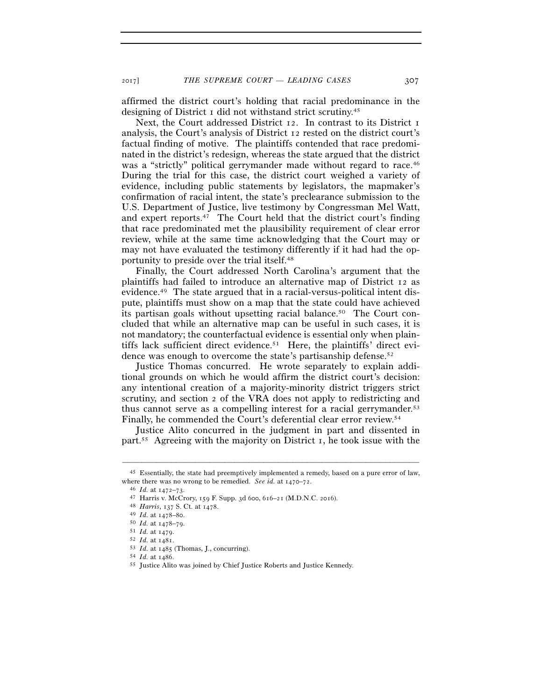affirmed the district court's holding that racial predominance in the designing of District 1 did not withstand strict scrutiny.45

Next, the Court addressed District 12. In contrast to its District 1 analysis, the Court's analysis of District 12 rested on the district court's factual finding of motive. The plaintiffs contended that race predominated in the district's redesign, whereas the state argued that the district was a "strictly" political gerrymander made without regard to race.<sup>46</sup> During the trial for this case, the district court weighed a variety of evidence, including public statements by legislators, the mapmaker's confirmation of racial intent, the state's preclearance submission to the U.S. Department of Justice, live testimony by Congressman Mel Watt, and expert reports.47 The Court held that the district court's finding that race predominated met the plausibility requirement of clear error review, while at the same time acknowledging that the Court may or may not have evaluated the testimony differently if it had had the opportunity to preside over the trial itself.48

Finally, the Court addressed North Carolina's argument that the plaintiffs had failed to introduce an alternative map of District 12 as evidence.49 The state argued that in a racial-versus-political intent dispute, plaintiffs must show on a map that the state could have achieved its partisan goals without upsetting racial balance.<sup>50</sup> The Court concluded that while an alternative map can be useful in such cases, it is not mandatory; the counterfactual evidence is essential only when plaintiffs lack sufficient direct evidence.<sup>51</sup> Here, the plaintiffs' direct evidence was enough to overcome the state's partisanship defense.<sup>52</sup>

Justice Thomas concurred. He wrote separately to explain additional grounds on which he would affirm the district court's decision: any intentional creation of a majority-minority district triggers strict scrutiny, and section 2 of the VRA does not apply to redistricting and thus cannot serve as a compelling interest for a racial gerrymander.<sup>53</sup> Finally, he commended the Court's deferential clear error review.54

Justice Alito concurred in the judgment in part and dissented in part.<sup>55</sup> Agreeing with the majority on District 1, he took issue with the

<sup>–––––––––––––––––––––––––––––––––––––––––––––––––––––––––––––</sup> 45 Essentially, the state had preemptively implemented a remedy, based on a pure error of law, where there was no wrong to be remedied. See id. at  $1470-72$ .<br>
<sup>46</sup> *Id.* at  $1472-73$ .<br>
<sup>47</sup> Harris v. McCrory,  $159$  F. Supp. 3d 600, 616–21 (M.D.N.C. 2016).<br>
<sup>48</sup> *Harris*,  $137$  S. Ct. at  $1478$ .<br>
<sup>49</sup> *Id.* at  $1478$ 

<sup>51</sup> *Id.* at <sup>1479</sup>. 52 *Id.* at <sup>1481</sup>. 53 *Id.* at <sup>1485</sup> (Thomas, J., concurring). 54 *Id.* at 1486.

<sup>55</sup> Justice Alito was joined by Chief Justice Roberts and Justice Kennedy.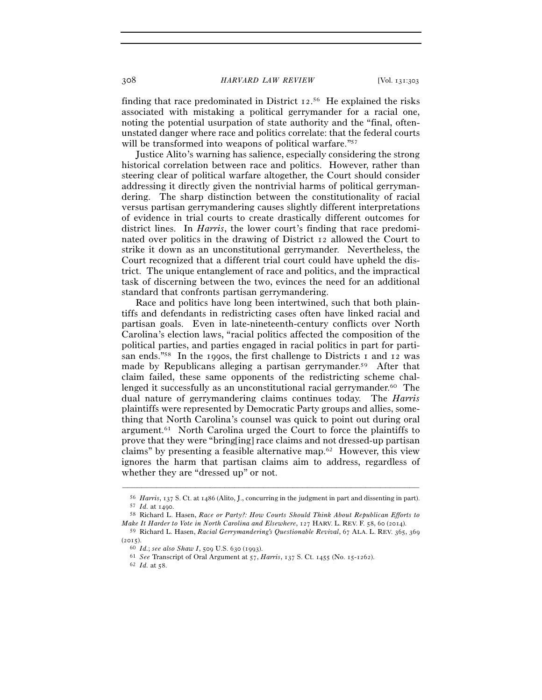finding that race predominated in District 12.<sup>56</sup> He explained the risks associated with mistaking a political gerrymander for a racial one, noting the potential usurpation of state authority and the "final, oftenunstated danger where race and politics correlate: that the federal courts will be transformed into weapons of political warfare."<sup>57</sup>

Justice Alito's warning has salience, especially considering the strong historical correlation between race and politics. However, rather than steering clear of political warfare altogether, the Court should consider addressing it directly given the nontrivial harms of political gerrymandering. The sharp distinction between the constitutionality of racial versus partisan gerrymandering causes slightly different interpretations of evidence in trial courts to create drastically different outcomes for district lines. In *Harris*, the lower court's finding that race predominated over politics in the drawing of District 12 allowed the Court to strike it down as an unconstitutional gerrymander. Nevertheless, the Court recognized that a different trial court could have upheld the district. The unique entanglement of race and politics, and the impractical task of discerning between the two, evinces the need for an additional standard that confronts partisan gerrymandering.

Race and politics have long been intertwined, such that both plaintiffs and defendants in redistricting cases often have linked racial and partisan goals. Even in late-nineteenth-century conflicts over North Carolina's election laws, "racial politics affected the composition of the political parties, and parties engaged in racial politics in part for partisan ends."58 In the 1990s, the first challenge to Districts 1 and 12 was made by Republicans alleging a partisan gerrymander.59 After that claim failed, these same opponents of the redistricting scheme challenged it successfully as an unconstitutional racial gerrymander.60 The dual nature of gerrymandering claims continues today. The *Harris* plaintiffs were represented by Democratic Party groups and allies, something that North Carolina's counsel was quick to point out during oral argument.61 North Carolina urged the Court to force the plaintiffs to prove that they were "bring[ing] race claims and not dressed-up partisan claims" by presenting a feasible alternative map.62 However, this view ignores the harm that partisan claims aim to address, regardless of whether they are "dressed up" or not.

 $^{56}$  Harris,  $_{137}$  S. Ct. at  $_{1486}$  (Alito, J., concurring in the judgment in part and dissenting in part).<br>  $^{57}$  Id. at 1490.<br>  $^{58}$  Richard L. Hasen, Race or Party?: How Courts Should Think About Republican Eff

*Make It Harder to Vote in North Carolina and Elsewhere*, 127 HARV. L. REV. F. 58, 60 (2014).

<sup>59</sup> Richard L. Hasen, *Racial Gerrymandering's Questionable Revival*, 67 ALA. L. REV. 365, 369

<sup>(</sup><sup>2015</sup>). 60 *Id.*; *see also Shaw I*, 509 U.S. 630 (<sup>1993</sup>). 61 *See* Transcript of Oral Argument at 57, *Harris*, 137 S. Ct. 1455 (No. 15-<sup>1262</sup>). 62 *Id.* at 58.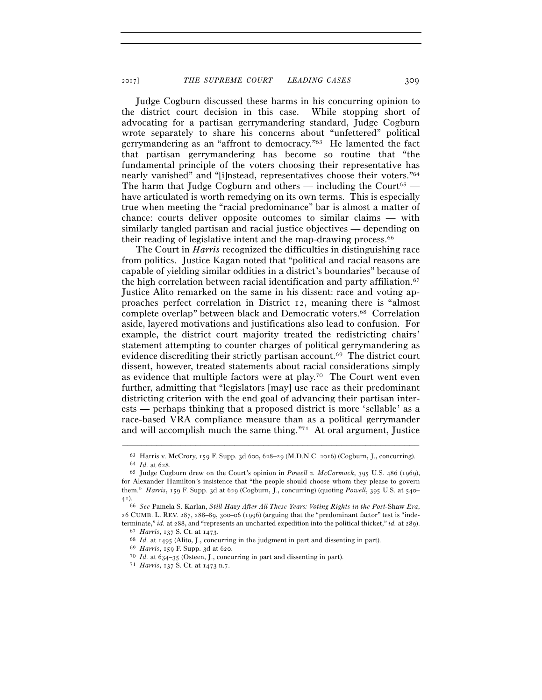Judge Cogburn discussed these harms in his concurring opinion to the district court decision in this case. While stopping short of advocating for a partisan gerrymandering standard, Judge Cogburn wrote separately to share his concerns about "unfettered" political gerrymandering as an "affront to democracy."63 He lamented the fact that partisan gerrymandering has become so routine that "the fundamental principle of the voters choosing their representative has nearly vanished" and "[i]nstead, representatives choose their voters."64 The harm that Judge Cogburn and others — including the Court<sup>65</sup> have articulated is worth remedying on its own terms. This is especially true when meeting the "racial predominance" bar is almost a matter of chance: courts deliver opposite outcomes to similar claims — with similarly tangled partisan and racial justice objectives — depending on their reading of legislative intent and the map-drawing process.<sup>66</sup>

The Court in *Harris* recognized the difficulties in distinguishing race from politics. Justice Kagan noted that "political and racial reasons are capable of yielding similar oddities in a district's boundaries" because of the high correlation between racial identification and party affiliation.<sup>67</sup> Justice Alito remarked on the same in his dissent: race and voting approaches perfect correlation in District 12, meaning there is "almost complete overlap" between black and Democratic voters.68 Correlation aside, layered motivations and justifications also lead to confusion. For example, the district court majority treated the redistricting chairs' statement attempting to counter charges of political gerrymandering as evidence discrediting their strictly partisan account.69 The district court dissent, however, treated statements about racial considerations simply as evidence that multiple factors were at play.70 The Court went even further, admitting that "legislators [may] use race as their predominant districting criterion with the end goal of advancing their partisan interests — perhaps thinking that a proposed district is more 'sellable' as a race-based VRA compliance measure than as a political gerrymander and will accomplish much the same thing."71 At oral argument, Justice

<sup>–––––––––––––––––––––––––––––––––––––––––––––––––––––––––––––</sup> <sup>63</sup> Harris v. McCrory, 159 F. Supp. 3d 600, 628–29 (M.D.N.C. <sup>2016</sup>) (Cogburn, J., concurring). 64 *Id.* at <sup>628</sup>. 65 Judge Cogburn drew on the Court's opinion in *Powell v. McCormack*, 395 U.S. 486 (1969),

for Alexander Hamilton's insistence that "the people should choose whom they please to govern them." *Harris*, 159 F. Supp. 3d at 629 (Cogburn, J., concurring) (quoting *Powell*, 395 U.S. at 540– 41).

<sup>66</sup> *See* Pamela S. Karlan, *Still Hazy After All These Years: Voting Rights in the Post-*Shaw *Era*, 26 CUMB. L. REV. 287, 288–89, 300–06 (1996) (arguing that the "predominant factor" test is "indeterminate," *id.* at 288, and "represents an uncharted expedition into the political thicket," *id.* at 289).<br>
<sup>67</sup> *Harris*,  $137$  S. Ct. at  $1473$ .<br>
<sup>68</sup> *Id.* at  $1495$  (Alito, J., concurring in the judgment in part an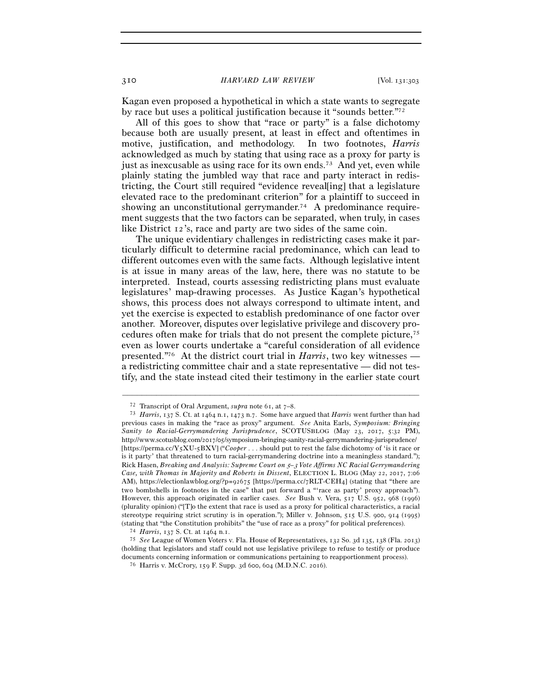Kagan even proposed a hypothetical in which a state wants to segregate by race but uses a political justification because it "sounds better."72

All of this goes to show that "race or party" is a false dichotomy because both are usually present, at least in effect and oftentimes in motive, justification, and methodology. In two footnotes, *Harris* acknowledged as much by stating that using race as a proxy for party is just as inexcusable as using race for its own ends.73 And yet, even while plainly stating the jumbled way that race and party interact in redistricting, the Court still required "evidence reveal[ing] that a legislature elevated race to the predominant criterion" for a plaintiff to succeed in showing an unconstitutional gerrymander.<sup>74</sup> A predominance requirement suggests that the two factors can be separated, when truly, in cases like District 12's, race and party are two sides of the same coin.

The unique evidentiary challenges in redistricting cases make it particularly difficult to determine racial predominance, which can lead to different outcomes even with the same facts. Although legislative intent is at issue in many areas of the law, here, there was no statute to be interpreted. Instead, courts assessing redistricting plans must evaluate legislatures' map-drawing processes. As Justice Kagan's hypothetical shows, this process does not always correspond to ultimate intent, and yet the exercise is expected to establish predominance of one factor over another. Moreover, disputes over legislative privilege and discovery procedures often make for trials that do not present the complete picture,75 even as lower courts undertake a "careful consideration of all evidence presented."76 At the district court trial in *Harris*, two key witnesses a redistricting committee chair and a state representative — did not testify, and the state instead cited their testimony in the earlier state court

<sup>72</sup> Transcript of Oral Argument, *supra* note 61, at 7–<sup>8</sup>. 73 *Harris*, 137 S. Ct. at 1464 n.1, 1473 n.7. Some have argued that *Harris* went further than had previous cases in making the "race as proxy" argument. *See* Anita Earls, *Symposium: Bringing Sanity to Racial-Gerrymandering Jurisprudence*, SCOTUSBLOG (May 23, 2017, 5:32 PM), http://www.scotusblog.com/2017/05/symposium-bringing-sanity-racial-gerrymandering-jurisprudence/ [https://perma.cc/Y5XU-5BXV] ("*Cooper* . . . should put to rest the false dichotomy of 'is it race or is it party' that threatened to turn racial-gerrymandering doctrine into a meaningless standard."); Rick Hasen, *Breaking and Analysis: Supreme Court on* 5*–*3 *Vote Affirms NC Racial Gerrymandering Case, with Thomas in Majority and Roberts in Dissent*, ELECTION L. BLOG (May 22, 2017, 7:06 AM), https://electionlawblog.org/?p=92675 [https://perma.cc/7RLT-CEH4] (stating that "there are two bombshells in footnotes in the case" that put forward a "'race as party' proxy approach"). However, this approach originated in earlier cases. *See* Bush v. Vera, 517 U.S. 952, 968 (1996) (plurality opinion) ("[T]o the extent that race is used as a proxy for political characteristics, a racial stereotype requiring strict scrutiny is in operation."); Miller v. Johnson, 515 U.S. 900, 914 (1995) % (stating that "the Constitution prohibits" the "use of race as a proxy" for political preferences).<br>  $^{74}$  Harris,  $_{137}$  S. Ct. at 1464 n.1.<br>  $^{75}$  See League of Women Voters v. Fla. House of Representatives, 132 So

<sup>(</sup>holding that legislators and staff could not use legislative privilege to refuse to testify or produce documents concerning information or communications pertaining to reapportionment process). 76 Harris v. McCrory, 159 F. Supp. 3d 600, 604 (M.D.N.C. 2016).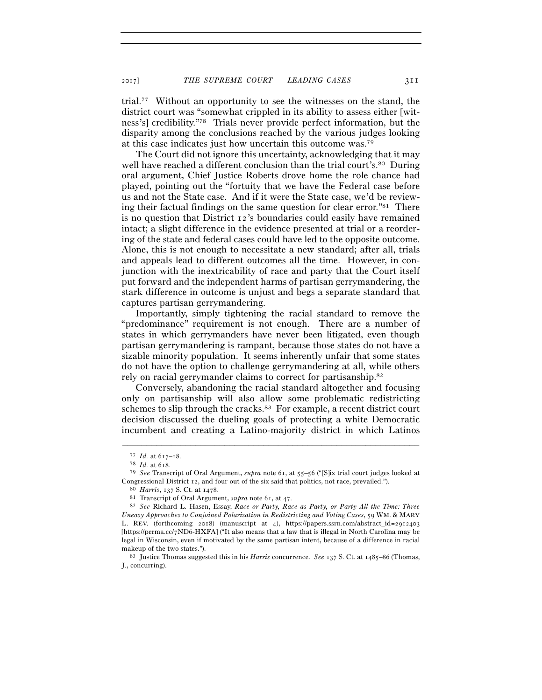trial.77 Without an opportunity to see the witnesses on the stand, the district court was "somewhat crippled in its ability to assess either [witness's] credibility."78 Trials never provide perfect information, but the disparity among the conclusions reached by the various judges looking at this case indicates just how uncertain this outcome was.79

The Court did not ignore this uncertainty, acknowledging that it may well have reached a different conclusion than the trial court's.<sup>80</sup> During oral argument, Chief Justice Roberts drove home the role chance had played, pointing out the "fortuity that we have the Federal case before us and not the State case. And if it were the State case, we'd be reviewing their factual findings on the same question for clear error." $81$  There is no question that District 12's boundaries could easily have remained intact; a slight difference in the evidence presented at trial or a reordering of the state and federal cases could have led to the opposite outcome. Alone, this is not enough to necessitate a new standard; after all, trials and appeals lead to different outcomes all the time. However, in conjunction with the inextricability of race and party that the Court itself put forward and the independent harms of partisan gerrymandering, the stark difference in outcome is unjust and begs a separate standard that captures partisan gerrymandering.

Importantly, simply tightening the racial standard to remove the "predominance" requirement is not enough. There are a number of states in which gerrymanders have never been litigated, even though partisan gerrymandering is rampant, because those states do not have a sizable minority population. It seems inherently unfair that some states do not have the option to challenge gerrymandering at all, while others rely on racial gerrymander claims to correct for partisanship.82

Conversely, abandoning the racial standard altogether and focusing only on partisanship will also allow some problematic redistricting schemes to slip through the cracks.<sup>83</sup> For example, a recent district court decision discussed the dueling goals of protecting a white Democratic incumbent and creating a Latino-majority district in which Latinos

<sup>77</sup> *Id.* at 617–<sup>18</sup>. 78 *Id.* at <sup>618</sup>. 79 *See* Transcript of Oral Argument, *supra* note 61, at 55–56 ("[S]ix trial court judges looked at Congressional District 12, and four out of the six said that politics, not race, prevailed.").<br><sup>80</sup> Harris, 137 S. Ct. at 1478.<br><sup>81</sup> Transcript of Oral Argument, *supra* note 61, at 47.<br><sup>82</sup> See Richard L. Hasen, Essay, R

*Uneasy Approaches to Conjoined Polarization in Redistricting and Voting Cases*, 59 WM. & MARY L. REV. (forthcoming 2018) (manuscript at 4), https://papers.ssrn.com/abstract\_id=2912403 [https://perma.cc/7ND6-HXFA] ("It also means that a law that is illegal in North Carolina may be legal in Wisconsin, even if motivated by the same partisan intent, because of a difference in racial makeup of the two states."). 83 Justice Thomas suggested this in his *Harris* concurrence. *See* 137 S. Ct. at 1485–86 (Thomas,

J., concurring).